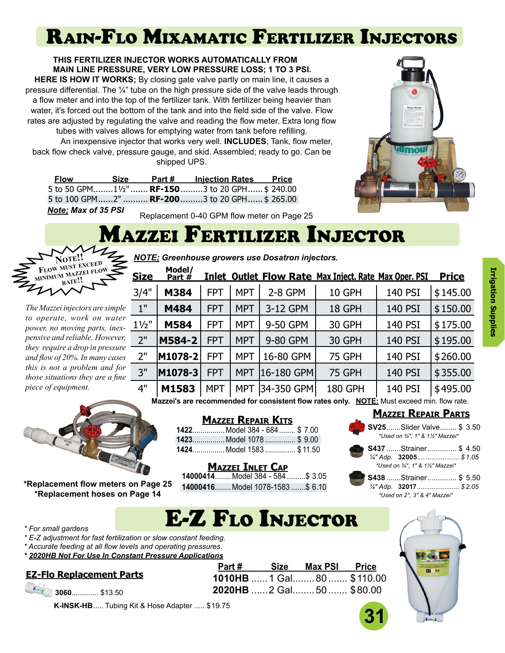# Rain-Flo Mixamatic Fertilizer Injectors

**THIS FERTILIZER INJECTOR WORKS AUTOMATICALLY FROM MAIN LINE PRESSURE, VERY LOW PRESSURE LOSS; 1 TO 3 PSI. HERE IS HOW IT WORKS;** By closing gate valve partly on main line, it causes a pressure differential. The  $\frac{1}{4}$ " tube on the high pressure side of the valve leads through a flow meter and into the top of the fertilizer tank. With fertilizer being heavier than water, it's forced out the bottom of the tank and into the field side of the valve. Flow rates are adjusted by regulating the valve and reading the flow meter. Extra long flow tubes with valves allows for emptying water from tank before refilling.

An inexpensive injector that works very well. **INCLUDES**; Tank, flow meter, back flow check valve, pressure gauge, and skid. Assembled; ready to go. Can be shipped UPS.

| <b>Flow</b>                | Size | Part # | <b>Injection Rates Price</b>                                                                                                                                                                                                                                                                                                                                                                                                                                                               |  |
|----------------------------|------|--------|--------------------------------------------------------------------------------------------------------------------------------------------------------------------------------------------------------------------------------------------------------------------------------------------------------------------------------------------------------------------------------------------------------------------------------------------------------------------------------------------|--|
|                            |      |        | 5 to 50 GPM11/2" <b>RF-150</b> 3 to 20 GPH \$ 240.00                                                                                                                                                                                                                                                                                                                                                                                                                                       |  |
|                            |      |        | 5 to 100 GPM2" <b>RF-200</b> 3 to 20 GPH \$ 265.00                                                                                                                                                                                                                                                                                                                                                                                                                                         |  |
| <b>Note: Max of 35 PSI</b> |      |        | $\blacksquare$ $\blacksquare$ $\blacksquare$ $\blacksquare$ $\blacksquare$ $\blacksquare$ $\blacksquare$ $\blacksquare$ $\blacksquare$ $\blacksquare$ $\blacksquare$ $\blacksquare$ $\blacksquare$ $\blacksquare$ $\blacksquare$ $\blacksquare$ $\blacksquare$ $\blacksquare$ $\blacksquare$ $\blacksquare$ $\blacksquare$ $\blacksquare$ $\blacksquare$ $\blacksquare$ $\blacksquare$ $\blacksquare$ $\blacksquare$ $\blacksquare$ $\blacksquare$ $\blacksquare$ $\blacksquare$ $\blacks$ |  |

the Fig. Missoult

#### Replacement 0-40 GPM flow meter on Page 25

*NOTE; Greenhouse growers use Dosatron injectors.*

## Mazzei Fertilizer Injector



*The Mazzei injectors are simple to operate, work on water power, no moving parts, inexpensive and reliable. However, they require a drop in pressure and flow of 20%. In many cases this is not a problem and for those situations they are a fine piece of equipment.*

| <u>Size</u>        | Model/<br>Part $#$ |            |            |            | <b>Inlet Outlet Flow Rate Max Inject. Rate Max Oper. PSI</b> |         | <b>Price</b> |
|--------------------|--------------------|------------|------------|------------|--------------------------------------------------------------|---------|--------------|
| 3/4"               | M384               | <b>FPT</b> | <b>MPT</b> | $2-8$ GPM  | 10 GPH                                                       | 140 PSI | \$145.00     |
| $1^{\prime\prime}$ | M484               | <b>FPT</b> | <b>MPT</b> | 3-12 GPM   | 18 GPH                                                       | 140 PSI | \$150.00     |
| $1\frac{1}{2}$     | M584               | <b>FPT</b> | <b>MPT</b> | 9-50 GPM   | 30 GPH                                                       | 140 PSI | \$175.00     |
| 2"                 | M584-2             | <b>FPT</b> | <b>MPT</b> | 9-80 GPM   | 30 GPH                                                       | 140 PSI | \$195.00     |
| 2"                 | M1078-2            | <b>FPT</b> | MPT        | 16-80 GPM  | <b>75 GPH</b>                                                | 140 PSI | \$260.00     |
| 3"                 | M1078-3            | <b>FPT</b> | <b>MPT</b> | 16-180 GPM | <b>75 GPH</b>                                                | 140 PSI | \$355.00     |
| 4"                 | M1583              | <b>MPT</b> | <b>MPT</b> | 34-350 GPM | <b>180 GPH</b>                                               | 140 PSI | \$495.00     |

**Mazzei's are recommended for consistent flow rates only. NOTE:** Must exceed min. flow rate.



**\*Replacement flow meters on Page 25 \*Replacement hoses on Page 14**

| <b>MAZZEI REPAIR KITS</b> |  |
|---------------------------|--|
|---------------------------|--|

**1422**................ Model 384 - 684........ \$ 7.00 **1423**................ Model 1078 ............... \$ 9.00 **1424**................ Model 1583 ............... \$ 11.50

#### **Mazzei Inlet Cap**

**14000414**........Model 384 - 584 .........\$ 3.05 **14000416**........Model 1078-1583 .......\$ 6.10

E-Z Flo Injector

### **Mazzei Repair Parts**



| S437 Strainer  \$4.50             |  |
|-----------------------------------|--|
| $\frac{1}{4}$ " Adp. 32005 \$1.05 |  |
| *Used on 3⁄4", 1" & 11⁄2" Mazzei* |  |

|  | S438 Strainer  \$ 5.50           |  |
|--|----------------------------------|--|
|  | $\frac{1}{4}$ " Adp. 32017\$2.05 |  |
|  | *Used on 2", 3" & 4" Mazzei*     |  |

#### *\* For small gardens*

*\* E-Z adjustment for fast fertilization or slow constant feeding.*

- *\* Accurate feeding at all flow levels and operating pressures.*
- *\* 2020HB Not For Use In Constant Pressure Applications*

|  |  |  | <b>EZ-Flo Replacement Parts</b> |  |  |
|--|--|--|---------------------------------|--|--|
|--|--|--|---------------------------------|--|--|

|  | $\frac{1}{2}$ 3060 \$13.50 |  |
|--|----------------------------|--|
|  |                            |  |

**K-INSK-HB**..... Tubing Kit & Hose Adapter ..... \$19.75

|  | Part # Size Max PSI Price  |  |
|--|----------------------------|--|
|  | 1010HB  1 Gal 80  \$110.00 |  |
|  |                            |  |